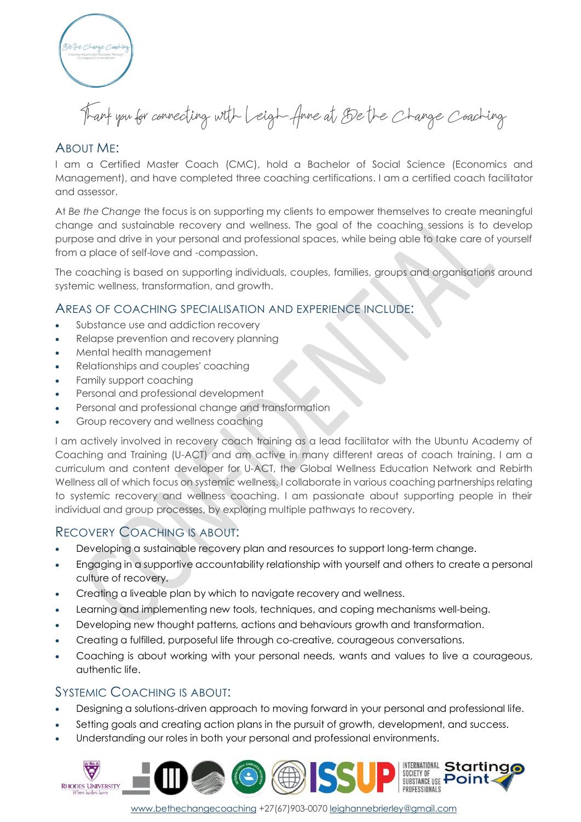

Thank you for connecting with Leigh-Anne at Be the Change Coaching

# ABOUT ME:

I am a Certified Master Coach (CMC), hold a Bachelor of Social Science (Economics and Management), and have completed three coaching certifications. I am a certified coach facilitator and assessor.

At *Be the Change* the focus is on supporting my clients to empower themselves to create meaningful change and sustainable recovery and wellness. The goal of the coaching sessions is to develop purpose and drive in your personal and professional spaces, while being able to take care of yourself from a place of self-love and -compassion.

The coaching is based on supporting individuals, couples, families, groups and organisations around systemic wellness, transformation, and growth.

### AREAS OF COACHING SPECIALISATION AND EXPERIENCE INCLUDE:

- Substance use and addiction recovery
- Relapse prevention and recovery planning
- Mental health management
- Relationships and couples' coaching
- Family support coaching
- Personal and professional development
- Personal and professional change and transformation
- Group recovery and wellness coaching

I am actively involved in recovery coach training as a lead facilitator with the Ubuntu Academy of Coaching and Training (U-ACT) and am active in many different areas of coach training. I am a curriculum and content developer for U-ACT, the Global Wellness Education Network and Rebirth Wellness all of which focus on systemic wellness. I collaborate in various coaching partnerships relating to systemic recovery and wellness coaching. I am passionate about supporting people in their individual and group processes, by exploring multiple pathways to recovery.

## RECOVERY COACHING IS ABOUT:

- Developing a sustainable recovery plan and resources to support long-term change.
- Engaging in a supportive accountability relationship with yourself and others to create a personal culture of recovery.
- Creating a liveable plan by which to navigate recovery and wellness.
- Learning and implementing new tools, techniques, and coping mechanisms well-being.
- Developing new thought patterns, actions and behaviours growth and transformation.
- Creating a fulfilled, purposeful life through co-creative, courageous conversations.
- Coaching is about working with your personal needs, wants and values to live a courageous, authentic life.

### SYSTEMIC COACHING IS ABOUT:

- Designing a solutions-driven approach to moving forward in your personal and professional life.
- Setting goals and creating action plans in the pursuit of growth, development, and success.
- Understanding our roles in both your personal and professional environments.